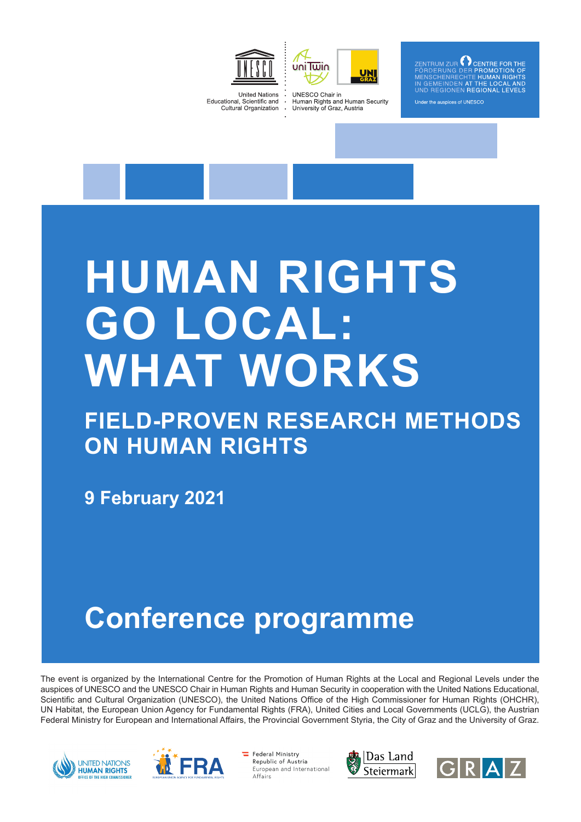



ZENTRUM ZUR  $\bigcap$  CENTRE FOR THE PROMOTION OF  $LOCA$ nder the auspices of UNESCC

**United Nations** Educational, Scientific and **Cultural Organization** 

**UNESCO Chair in** Human Rights and Human Security University of Graz, Austria

# **HUMAN RIGHTS GO LOCAL: WHAT WORKS**

### **FIELD-PROVEN RESEARCH METHODS ON HUMAN RIGHTS**

**9 February 2021**

## **Conference programme**

The event is organized by the International Centre for the Promotion of Human Rights at the Local and Regional Levels under the auspices of UNESCO and the UNESCO Chair in Human Rights and Human Security in cooperation with the United Nations Educational, Scientific and Cultural Organization (UNESCO), the United Nations Office of the High Commissioner for Human Rights (OHCHR), UN Habitat, the European Union Agency for Fundamental Rights (FRA), United Cities and Local Governments (UCLG), the Austrian Federal Ministry for European and International Affairs, the Provincial Government Styria, the City of Graz and the University of Graz.





Federal Ministry Republic of Austria Furonean and International Affairs